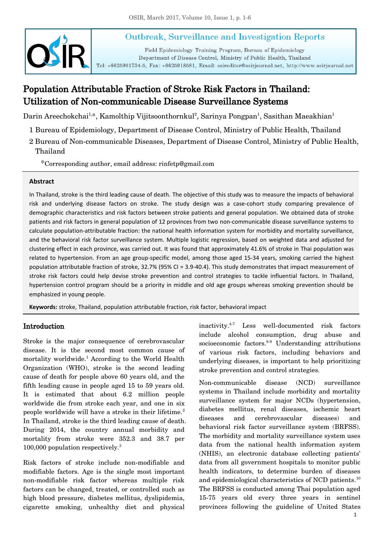# Outbreak, Surveillance and Investigation Reports



Field Epidemiology Training Program, Bureau of Epidemiology Department of Disease Control, Ministry of Public Health, Thailand Tel: +6625901734-5, Fax: +6625918581, Email: osireditor@osirjournal.net, http://www.osirjournal.net

# Population Attributable Fraction of Stroke Risk Factors in Thailand: Utilization of Non-communicable Disease Surveillance Systems

Darin Areechokchai<sup>1,\*</sup>, Kamolthip Vijitsoonthornkul<sup>2</sup>, Sarinya Pongpan<sup>1</sup>, Sasithan Maeakhian<sup>1</sup>

- 1 Bureau of Epidemiology, Department of Disease Control, Ministry of Public Health, Thailand
- 2 Bureau of Non-communicable Diseases, Department of Disease Control, Ministry of Public Health, Thailand

\*Corresponding author, email address: rinfetp@gmail.com

#### **Abstract**

In Thailand, stroke is the third leading cause of death. The objective of this study was to measure the impacts of behavioral risk and underlying disease factors on stroke. The study design was a case-cohort study comparing prevalence of demographic characteristics and risk factors between stroke patients and general population. We obtained data of stroke patients and risk factors in general population of 12 provinces from two non-communicable disease surveillance systems to calculate population-attributable fraction: the national health information system for morbidity and mortality surveillance, and the behavioral risk factor surveillance system. Multiple logistic regression, based on weighted data and adjusted for clustering effect in each province, was carried out. It was found that approximately 41.6% of stroke in Thai population was related to hypertension. From an age group-specific model, among those aged 15-34 years, smoking carried the highest population attributable fraction of stroke, 32.7% (95% CI = 3.9-40.4). This study demonstrates that impact measurement of stroke risk factors could help devise stroke prevention and control strategies to tackle influential factors. In Thailand, hypertension control program should be a priority in middle and old age groups whereas smoking prevention should be emphasized in young people.

**Keywords:** stroke, Thailand, population attributable fraction, risk factor, behavioral impact

### Introduction

Stroke is the major consequence of cerebrovascular disease. It is the second most common cause of mortality worldwide.<sup>1</sup> According to the World Health Organization (WHO), stroke is the second leading cause of death for people above 60 years old, and the fifth leading cause in people aged 15 to 59 years old. It is estimated that about 6.2 million people worldwide die from stroke each year, and one in six people worldwide will have a stroke in their lifetime.<sup>2</sup> In Thailand, stroke is the third leading cause of death. During 2014, the country annual morbidity and mortality from stroke were 352.3 and 38.7 per 100,000 population respectively.<sup>3</sup>

Risk factors of stroke include non-modifiable and modifiable factors. Age is the single most important non-modifiable risk factor whereas multiple risk factors can be changed, treated, or controlled such as high blood pressure, diabetes mellitus, dyslipidemia, cigarette smoking, unhealthy diet and physical inactivity.4-7 Less well-documented risk factors include alcohol consumption, drug abuse and socioeconomic factors. $8-9$  Understanding attributions of various risk factors, including behaviors and underlying diseases, is important to help prioritizing stroke prevention and control strategies.

Non-communicable disease (NCD) surveillance systems in Thailand include morbidity and mortality surveillance system for major NCDs (hypertension, diabetes mellitus, renal diseases, ischemic heart diseases and cerebrovascular diseases) and behavioral risk factor surveillance system (BRFSS). The morbidity and mortality surveillance system uses data from the national health information system (NHIS), an electronic database collecting patients' data from all government hospitals to monitor public health indicators, to determine burden of diseases and epidemiological characteristics of NCD patients.<sup>10</sup> The BRFSS is conducted among Thai population aged 15-75 years old every three years in sentinel provinces following the guideline of United States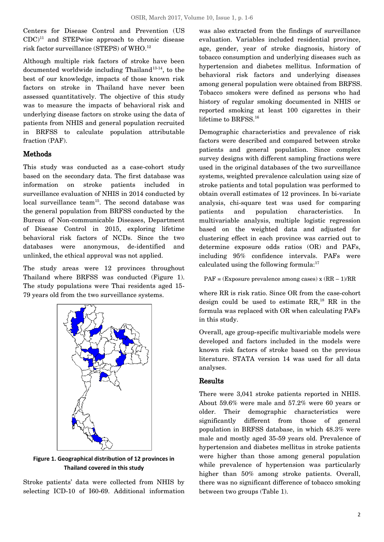Centers for Disease Control and Prevention (US  $CDC$ <sup>11</sup> and STEPwise approach to chronic disease risk factor surveillance (STEPS) of WHO. 12

Although multiple risk factors of stroke have been documented worldwide including Thailand<sup>13-14</sup>, to the best of our knowledge, impacts of those known risk factors on stroke in Thailand have never been assessed quantitatively. The objective of this study was to measure the impacts of behavioral risk and underlying disease factors on stroke using the data of patients from NHIS and general population recruited in BRFSS to calculate population attributable fraction (PAF).

### Methods

This study was conducted as a case-cohort study based on the secondary data. The first database was information on stroke patients included in surveillance evaluation of NHIS in 2014 conducted by local surveillance team<sup>15</sup>. The second database was the general population from BRFSS conducted by the Bureau of Non-communicable Diseases, Department of Disease Control in 2015, exploring lifetime behavioral risk factors of NCDs. Since the two databases were anonymous, de-identified and unlinked, the ethical approval was not applied.

The study areas were 12 provinces throughout Thailand where BRFSS was conducted (Figure 1). The study populations were Thai residents aged 15- 79 years old from the two surveillance systems.



**Figure 1. Geographical distribution of 12 provinces in Thailand covered in this study**

Stroke patients' data were collected from NHIS by selecting ICD-10 of I60-69. Additional information was also extracted from the findings of surveillance evaluation. Variables included residential province, age, gender, year of stroke diagnosis, history of tobacco consumption and underlying diseases such as hypertension and diabetes mellitus. Information of behavioral risk factors and underlying diseases among general population were obtained from BRFSS. Tobacco smokers were defined as persons who had history of regular smoking documented in NHIS or reported smoking at least 100 cigarettes in their lifetime to BRFSS.<sup>16</sup>

Demographic characteristics and prevalence of risk factors were described and compared between stroke patients and general population. Since complex survey designs with different sampling fractions were used in the original databases of the two surveillance systems, weighted prevalence calculation using size of stroke patients and total population was performed to obtain overall estimates of 12 provinces. In bi-variate analysis, chi-square test was used for comparing patients and population characteristics. In multivariable analysis, multiple logistic regression based on the weighted data and adjusted for clustering effect in each province was carried out to determine exposure odds ratios (OR) and PAFs, including 95% confidence intervals. PAFs were calculated using the following formula: $17$ 

 $PAF = (Exposure prevalence among cases) x (RR - 1)/RR$ 

where RR is risk ratio. Since OR from the case-cohort design could be used to estimate  $RR$ ,<sup>18</sup> RR in the formula was replaced with OR when calculating PAFs in this study.

Overall, age group-specific multivariable models were developed and factors included in the models were known risk factors of stroke based on the previous literature. STATA version 14 was used for all data analyses.

#### Results

There were 3,041 stroke patients reported in NHIS. About 59.6% were male and 57.2% were 60 years or older. Their demographic characteristics were significantly different from those of general population in BRFSS database, in which 48.3% were male and mostly aged 35-59 years old. Prevalence of hypertension and diabetes mellitus in stroke patients were higher than those among general population while prevalence of hypertension was particularly higher than 50% among stroke patients. Overall, there was no significant difference of tobacco smoking between two groups (Table 1).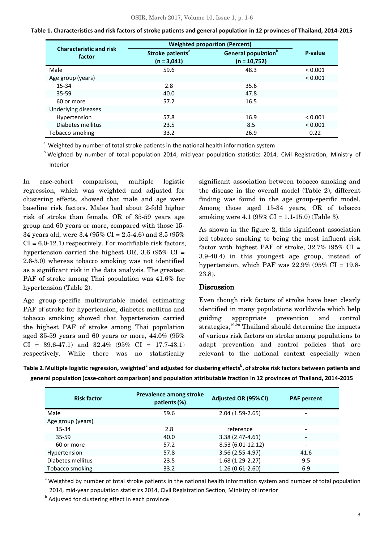|                                          | <b>Weighted proportion (Percent)</b>          |                                                    |         |
|------------------------------------------|-----------------------------------------------|----------------------------------------------------|---------|
| <b>Characteristic and risk</b><br>factor | Stroke patients <sup>a</sup><br>$(n = 3,041)$ | General population <sup>b</sup><br>$(n = 10, 752)$ | P-value |
| Male                                     | 59.6                                          | 48.3                                               | < 0.001 |
| Age group (years)                        |                                               |                                                    | < 0.001 |
| 15-34                                    | 2.8                                           | 35.6                                               |         |
| $35 - 59$                                | 40.0                                          | 47.8                                               |         |
| 60 or more                               | 57.2                                          | 16.5                                               |         |
| Underlying diseases                      |                                               |                                                    |         |
| Hypertension                             | 57.8                                          | 16.9                                               | < 0.001 |
| Diabetes mellitus                        | 23.5                                          | 8.5                                                | < 0.001 |
| Tobacco smoking                          | 33.2                                          | 26.9                                               | 0.22    |

<sup>a</sup> Weighted by number of total stroke patients in the national health information system

 $b$  Weighted by number of total population 2014, mid-year population statistics 2014, Civil Registration, Ministry of Interior

In case-cohort comparison, multiple logistic regression, which was weighted and adjusted for clustering effects, showed that male and age were baseline risk factors. Males had about 2-fold higher risk of stroke than female. OR of 35-59 years age group and 60 years or more, compared with those 15- 34 years old, were 3.4 (95% CI = 2.5-4.6) and 8.5 (95%  $CI = 6.0-12.1$  respectively. For modifiable risk factors, hypertension carried the highest OR, 3.6 (95% CI = 2.6-5.0) whereas tobacco smoking was not identified as a significant risk in the data analysis. The greatest PAF of stroke among Thai population was 41.6% for hypertension (Table 2).

Age group-specific multivariable model estimating PAF of stroke for hypertension, diabetes mellitus and tobacco smoking showed that hypertension carried the highest PAF of stroke among Thai population aged 35-59 years and 60 years or more, 44.0% (95%  $CI = 39.6-47.1$  and  $32.4\%$  (95\%  $CI = 17.7-43.1$ ) respectively. While there was no statistically

significant association between tobacco smoking and the disease in the overall model (Table 2), different finding was found in the age group-specific model. Among those aged 15-34 years, OR of tobacco smoking were  $4.1 (95\% \text{ CI} = 1.1 - 15.0)$  (Table 3).

As shown in the figure 2, this significant association led tobacco smoking to being the most influent risk factor with highest PAF of stroke,  $32.7\%$  (95% CI = 3.9-40.4) in this youngest age group, instead of hypertension, which PAF was  $22.9\%$  (95% CI = 19.8-23.8).

### **Discussion**

Even though risk factors of stroke have been clearly identified in many populations worldwide which help guiding appropriate prevention and control strategies, $19-20$  Thailand should determine the impacts of various risk factors on stroke among populations to adapt prevention and control policies that are relevant to the national context especially when

Table 2. Multiple logistic regression, weighted<sup>a</sup> and adjusted for clustering effects<sup>b</sup>, of stroke risk factors between patients and **general population (case-cohort comparison) and population attributable fraction in 12 provinces of Thailand, 2014-2015**

| <b>Risk factor</b> | Prevalence among stroke<br>patients (%) | Adjusted OR (95% CI) | <b>PAF percent</b>           |
|--------------------|-----------------------------------------|----------------------|------------------------------|
| Male               | 59.6                                    | $2.04(1.59-2.65)$    | $\qquad \qquad \blacksquare$ |
| Age group (years)  |                                         |                      |                              |
| $15 - 34$          | 2.8                                     | reference            |                              |
| $35 - 59$          | 40.0                                    | $3.38(2.47-4.61)$    | $\overline{\phantom{a}}$     |
| 60 or more         | 57.2                                    | 8.53 (6.01-12.12)    | $\overline{\phantom{0}}$     |
| Hypertension       | 57.8                                    | 3.56 (2.55-4.97)     | 41.6                         |
| Diabetes mellitus  | 23.5                                    | $1.68(1.29-2.27)$    | 9.5                          |
| Tobacco smoking    | 33.2                                    | $1.26(0.61-2.60)$    | 6.9                          |

<sup>a</sup> Weighted by number of total stroke patients in the national health information system and number of total population 2014, mid-year population statistics 2014, Civil Registration Section, Ministry of Interior

**b** Adjusted for clustering effect in each province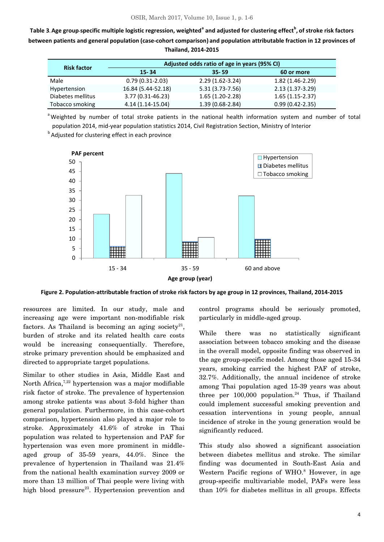**Table 3. Age group-specific multiple logistic regression, weighted<sup>a</sup> and adjusted for clustering effect<sup>b</sup> , of stroke risk factors between patients and general population (case-cohort comparison) and population attributable fraction in 12 provinces of Thailand, 2014-2015**

| <b>Risk factor</b> | Adjusted odds ratio of age in years (95% CI) |                     |                     |  |
|--------------------|----------------------------------------------|---------------------|---------------------|--|
|                    | $15 - 34$                                    | $35 - 59$           | 60 or more          |  |
| Male               | $0.79(0.31-2.03)$                            | $2.29(1.62-3.24)$   | $1.82(1.46-2.29)$   |  |
| Hypertension       | 16.84 (5.44-52.18)                           | $5.31(3.73 - 7.56)$ | $2.13(1.37-3.29)$   |  |
| Diabetes mellitus  | 3.77 (0.31-46.23)                            | $1.65(1.20-2.28)$   | $1.65(1.15-2.37)$   |  |
| Tobacco smoking    | 4.14 (1.14-15.04)                            | $1.39(0.68-2.84)$   | $0.99(0.42 - 2.35)$ |  |

<sup>a</sup> Weighted by number of total stroke patients in the national health information system and number of total population 2014, mid-year population statistics 2014, Civil Registration Section, Ministry of Interior

**b** Adjusted for clustering effect in each province



**Figure 2. Population-attributable fraction of stroke risk factors by age group in 12 provinces, Thailand, 2014-2015**

resources are limited. In our study, male and increasing age were important non-modifiable risk factors. As Thailand is becoming an aging society<sup>21</sup>, burden of stroke and its related health care costs would be increasing consequentially. Therefore, stroke primary prevention should be emphasized and directed to appropriate target populations.

Similar to other studies in Asia, Middle East and North Africa,<sup>7,22</sup> hypertension was a major modifiable risk factor of stroke. The prevalence of hypertension among stroke patients was about 3-fold higher than general population. Furthermore, in this case-cohort comparison, hypertension also played a major role to stroke. Approximately 41.6% of stroke in Thai population was related to hypertension and PAF for hypertension was even more prominent in middleaged group of 35-59 years, 44.0%. Since the prevalence of hypertension in Thailand was 21.4% from the national health examination survey 2009 or more than 13 million of Thai people were living with high blood pressure<sup>23</sup>. Hypertension prevention and control programs should be seriously promoted, particularly in middle-aged group.

While there was no statistically significant association between tobacco smoking and the disease in the overall model, opposite finding was observed in the age group-specific model. Among those aged 15-34 years, smoking carried the highest PAF of stroke, 32.7%. Additionally, the annual incidence of stroke among Thai population aged 15-39 years was about three per  $100,000$  population.<sup>24</sup> Thus, if Thailand could implement successful smoking prevention and cessation interventions in young people, annual incidence of stroke in the young generation would be significantly reduced.

This study also showed a significant association between diabetes mellitus and stroke. The similar finding was documented in South-East Asia and Western Pacific regions of WHO.<sup>8</sup> However, in age group-specific multivariable model, PAFs were less than 10% for diabetes mellitus in all groups. Effects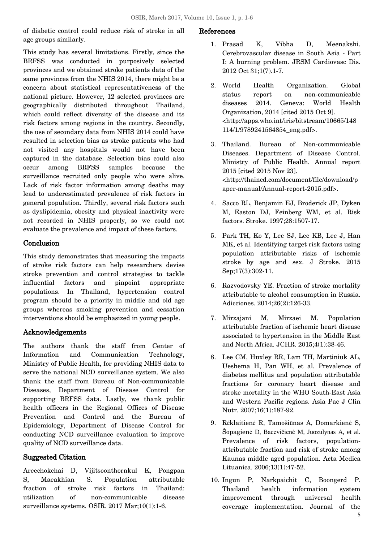of diabetic control could reduce risk of stroke in all age groups similarly.

This study has several limitations. Firstly, since the BRFSS was conducted in purposively selected provinces and we obtained stroke patients data of the same provinces from the NHIS 2014, there might be a concern about statistical representativeness of the national picture. However, 12 selected provinces are geographically distributed throughout Thailand, which could reflect diversity of the disease and its risk factors among regions in the country. Secondly, the use of secondary data from NHIS 2014 could have resulted in selection bias as stroke patients who had not visited any hospitals would not have been captured in the database. Selection bias could also occur among BRFSS samples because the surveillance recruited only people who were alive. Lack of risk factor information among deaths may lead to underestimated prevalence of risk factors in general population. Thirdly, several risk factors such as dyslipidemia, obesity and physical inactivity were not recorded in NHIS properly, so we could not evaluate the prevalence and impact of these factors.

# Conclusion

This study demonstrates that measuring the impacts of stroke risk factors can help researchers devise stroke prevention and control strategies to tackle influential factors and pinpoint appropriate populations. In Thailand, hypertension control program should be a priority in middle and old age groups whereas smoking prevention and cessation interventions should be emphasized in young people.

# Acknowledgements

The authors thank the staff from Center of Information and Communication Technology, Ministry of Public Health, for providing NHIS data to serve the national NCD surveillance system. We also thank the staff from Bureau of Non-communicable Diseases, Department of Disease Control for supporting BRFSS data. Lastly, we thank public health officers in the Regional Offices of Disease Prevention and Control and the Bureau of Epidemiology, Department of Disease Control for conducting NCD surveillance evaluation to improve quality of NCD surveillance data.

# Suggested Citation

Areechokchai D, Vijitsoonthornkul K, Pongpan S, Maeakhian S. Population attributable fraction of stroke risk factors in Thailand: utilization of non-communicable disease surveillance systems. OSIR. 2017 Mar;10(1):1-6.

## References

- 1. Prasad K, Vibha D, Meenakshi. Cerebrovascular disease in South Asia - Part I: A burning problem. JRSM Cardiovasc Dis. 2012 Oct 31;1(7).1-7.
- 2. World Health Organization. Global status report on non-communicable diseases 2014. Geneva: World Health Organization, 2014 [cited 2015 Oct 9]. <http://apps.who.int/iris/bitstream/10665/148 114/1/9789241564854\_eng.pdf>.
- 3. Thailand. Bureau of Non-communicable Diseases. Department of Disease Control. Ministry of Public Health. Annual report 2015 [cited 2015 Nov 23]. <http://thaincd.com/document/file/download/p aper-manual/Annual-report-2015.pdf>.
- 4. Sacco RL, Benjamin EJ, Broderick JP, Dyken M, Easton DJ, Feinberg WM, et al. Risk factors. Stroke. 1997;28:1507-17.
- 5. Park TH, Ko Y, Lee SJ, Lee KB, Lee J, Han MK, et al. Identifying target risk factors using population attributable risks of ischemic stroke by age and sex. J Stroke. 2015 Sep;17(3):302-11.
- 6. Razvodovsky YE. Fraction of stroke mortality attributable to alcohol consumption in Russia. Adicciones. 2014;26(2):126-33.
- 7. Mirzajani M, Mirzaei M. Population attributable fraction of ischemic heart disease associated to hypertension in the Middle East and North Africa. JCHR. 2015;4(1):38-46.
- 8. Lee CM, Huxley RR, Lam TH, Martiniuk AL, Ueshema H, Pan WH, et al. Prevalence of diabetes mellitus and population attributable fractions for coronary heart disease and stroke mortality in the WHO South-East Asia and Western Pacific regions. Asia Pac J Clin Nutr. 2007;16(1):187-92.
- 9. Rėklaitienė R, Tamošiūnas A, Domarkienė S, Šopagienė D, Bacevičienė M, Juozulynas A, et al. Prevalence of risk factors, populationattributable fraction and risk of stroke among Kaunas middle aged population. Acta Medica Lituanica. 2006;13(1):47-52.
- 10. Ingun P, Narkpaichit C, Boongerd P. Thailand health information system improvement through universal health coverage implementation. Journal of the